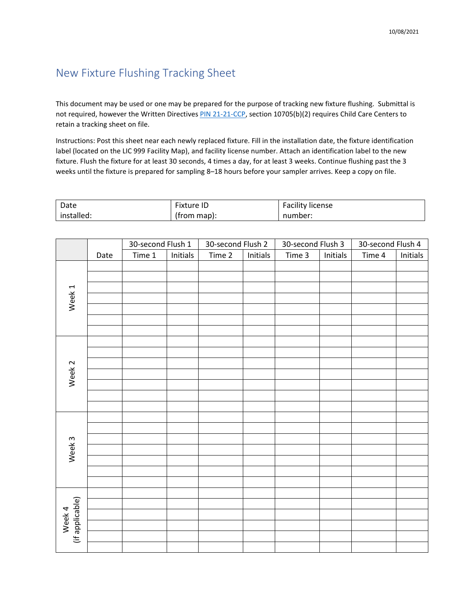## New Fixture Flushing Tracking Sheet

This document may be used or one may be prepared for the purpose of tracking new fixture flushing. Submittal is not required, however the Written Directives [PIN 21-21-CCP,](https://www.cdss.ca.gov/Portals/9/CCLD/PINs/2021/CCP/PIN-21-21-CCP.pdf) section 10705(b)(2) requires Child Care Centers to retain a tracking sheet on file.

Instructions: Post this sheet near each newly replaced fixture. Fill in the installation date, the fixture identification label (located on the LIC 999 Facility Map), and facility license number. Attach an identification label to the new fixture. Flush the fixture for at least 30 seconds, 4 times a day, for at least 3 weeks. Continue flushing past the 3 weeks until the fixture is prepared for sampling 8–18 hours before your sampler arrives. Keep a copy on file.

| Date       | Fixture ID  | <b>Facility license</b> |
|------------|-------------|-------------------------|
| installed: | (from map): | number:                 |

|                           |      | 30-second Flush 1 |          | 30-second Flush 2 |          | 30-second Flush 3 |          | 30-second Flush 4 |          |
|---------------------------|------|-------------------|----------|-------------------|----------|-------------------|----------|-------------------|----------|
|                           | Date | Time 1            | Initials | Time 2            | Initials | Time 3            | Initials | Time 4            | Initials |
| Week 1                    |      |                   |          |                   |          |                   |          |                   |          |
|                           |      |                   |          |                   |          |                   |          |                   |          |
|                           |      |                   |          |                   |          |                   |          |                   |          |
|                           |      |                   |          |                   |          |                   |          |                   |          |
|                           |      |                   |          |                   |          |                   |          |                   |          |
|                           |      |                   |          |                   |          |                   |          |                   |          |
|                           |      |                   |          |                   |          |                   |          |                   |          |
|                           |      |                   |          |                   |          |                   |          |                   |          |
|                           |      |                   |          |                   |          |                   |          |                   |          |
|                           |      |                   |          |                   |          |                   |          |                   |          |
| Week <sub>2</sub>         |      |                   |          |                   |          |                   |          |                   |          |
|                           |      |                   |          |                   |          |                   |          |                   |          |
|                           |      |                   |          |                   |          |                   |          |                   |          |
|                           |      |                   |          |                   |          |                   |          |                   |          |
|                           |      |                   |          |                   |          |                   |          |                   |          |
|                           |      |                   |          |                   |          |                   |          |                   |          |
| Week <sub>3</sub>         |      |                   |          |                   |          |                   |          |                   |          |
|                           |      |                   |          |                   |          |                   |          |                   |          |
|                           |      |                   |          |                   |          |                   |          |                   |          |
|                           |      |                   |          |                   |          |                   |          |                   |          |
|                           |      |                   |          |                   |          |                   |          |                   |          |
|                           |      |                   |          |                   |          |                   |          |                   |          |
|                           |      |                   |          |                   |          |                   |          |                   |          |
| Week 4<br>(if applicable) |      |                   |          |                   |          |                   |          |                   |          |
|                           |      |                   |          |                   |          |                   |          |                   |          |
|                           |      |                   |          |                   |          |                   |          |                   |          |
|                           |      |                   |          |                   |          |                   |          |                   |          |